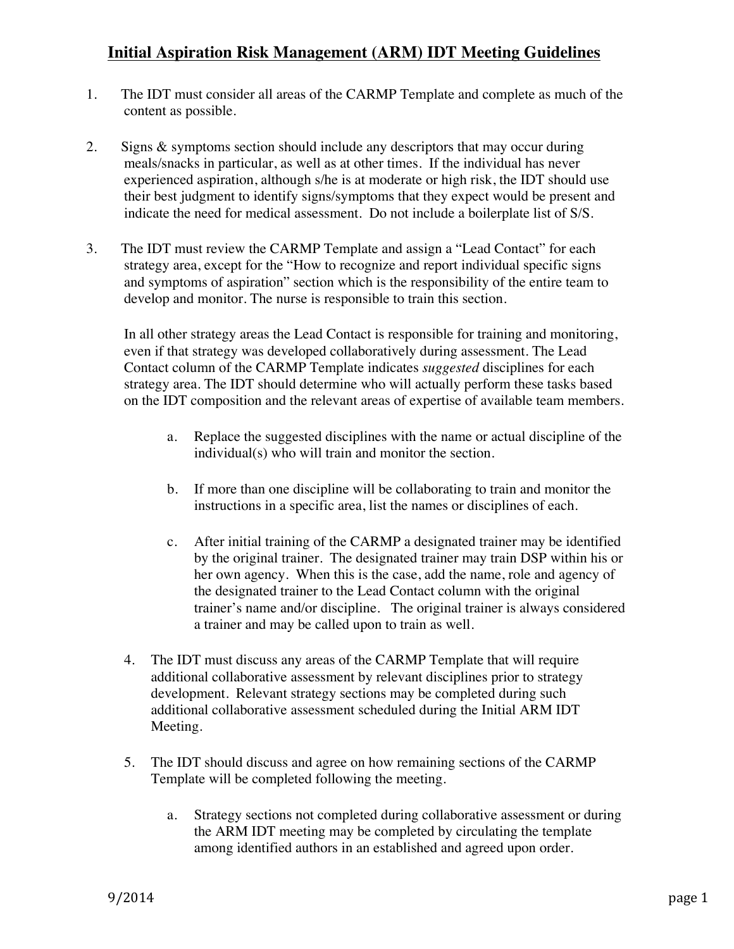## **Initial Aspiration Risk Management (ARM) IDT Meeting Guidelines**

- 1. The IDT must consider all areas of the CARMP Template and complete as much of the content as possible.
- 2. Signs & symptoms section should include any descriptors that may occur during meals/snacks in particular, as well as at other times. If the individual has never experienced aspiration, although s/he is at moderate or high risk, the IDT should use their best judgment to identify signs/symptoms that they expect would be present and indicate the need for medical assessment. Do not include a boilerplate list of S/S.
- 3. The IDT must review the CARMP Template and assign a "Lead Contact" for each strategy area, except for the "How to recognize and report individual specific signs and symptoms of aspiration" section which is the responsibility of the entire team to develop and monitor. The nurse is responsible to train this section.

In all other strategy areas the Lead Contact is responsible for training and monitoring, even if that strategy was developed collaboratively during assessment. The Lead Contact column of the CARMP Template indicates *suggested* disciplines for each strategy area. The IDT should determine who will actually perform these tasks based on the IDT composition and the relevant areas of expertise of available team members.

- a. Replace the suggested disciplines with the name or actual discipline of the individual(s) who will train and monitor the section.
- b. If more than one discipline will be collaborating to train and monitor the instructions in a specific area, list the names or disciplines of each.
- c. After initial training of the CARMP a designated trainer may be identified by the original trainer. The designated trainer may train DSP within his or her own agency. When this is the case, add the name, role and agency of the designated trainer to the Lead Contact column with the original trainer's name and/or discipline. The original trainer is always considered a trainer and may be called upon to train as well.
- 4. The IDT must discuss any areas of the CARMP Template that will require additional collaborative assessment by relevant disciplines prior to strategy development. Relevant strategy sections may be completed during such additional collaborative assessment scheduled during the Initial ARM IDT Meeting.
- 5. The IDT should discuss and agree on how remaining sections of the CARMP Template will be completed following the meeting.
	- a. Strategy sections not completed during collaborative assessment or during the ARM IDT meeting may be completed by circulating the template among identified authors in an established and agreed upon order.